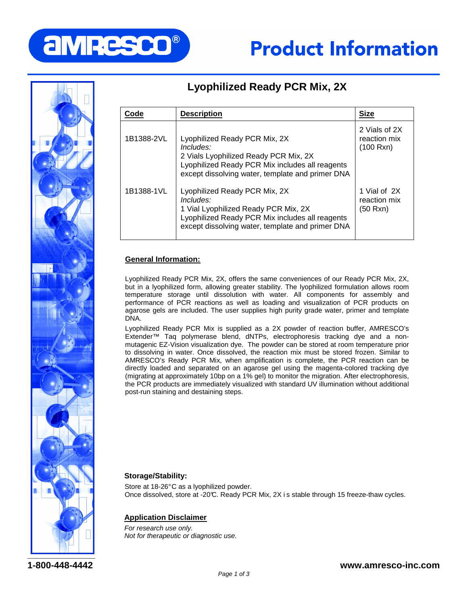



# **Lyophilized Ready PCR Mix, 2X**

| Code       | <b>Description</b>                                                                                                                                                                            | <b>Size</b>                                |
|------------|-----------------------------------------------------------------------------------------------------------------------------------------------------------------------------------------------|--------------------------------------------|
| 1B1388-2VL | Lyophilized Ready PCR Mix, 2X<br>$Includes$ :<br>2 Vials Lyophilized Ready PCR Mix, 2X<br>Lyophilized Ready PCR Mix includes all reagents<br>except dissolving water, template and primer DNA | 2 Vials of 2X<br>reaction mix<br>(100 Rxn) |
| 1B1388-1VL | Lyophilized Ready PCR Mix, 2X<br>$Includes$ :<br>1 Vial Lyophilized Ready PCR Mix, 2X<br>Lyophilized Ready PCR Mix includes all reagents<br>except dissolving water, template and primer DNA  | 1 Vial of 2X<br>reaction mix<br>(50 Rxn)   |

# **General Information:**

Lyophilized Ready PCR Mix, 2X, offers the same conveniences of our Ready PCR Mix, 2X, but in a lyophilized form, allowing greater stability. The lyophilized formulation allows room temperature storage until dissolution with water. All components for assembly and performance of PCR reactions as well as loading and visualization of PCR products on agarose gels are included. The user supplies high purity grade water, primer and template DNA.

Lyophilized Ready PCR Mix is supplied as a 2X powder of reaction buffer, AMRESCO's Extender™ Taq polymerase blend, dNTPs, electrophoresis tracking dye and a nonmutagenic EZ-Vision visualization dye. The powder can be stored at room temperature prior to dissolving in water. Once dissolved, the reaction mix must be stored frozen. Similar to AMRESCO's Ready PCR Mix, when amplification is complete, the PCR reaction can be directly loaded and separated on an agarose gel using the magenta-colored tracking dye (migrating at approximately 10bp on a 1% gel) to monitor the migration. After electrophoresis, the PCR products are immediately visualized with standard UV illumination without additional post-run staining and destaining steps.

## **Storage/Stability:**

Store at 18-26°C as a lyophilized powder. Once dissolved, store at -20°C. Ready PCR Mix, 2X i s stable through 15 freeze-thaw cycles.

## **Application Disclaimer**

For research use only. Not for therapeutic or diagnostic use.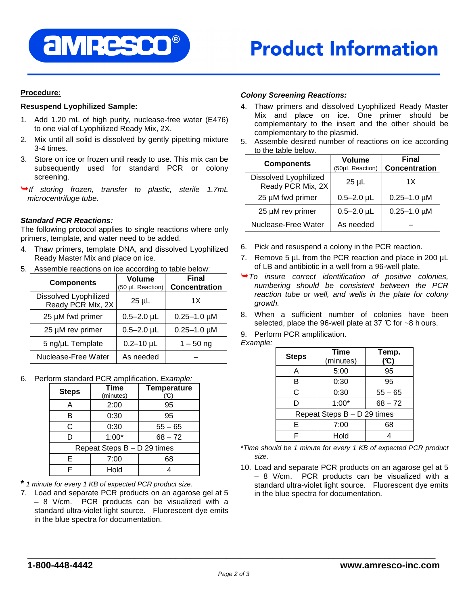

# **Procedure:**

# **Resuspend Lyophilized Sample:**

- 1. Add 1.20 mL of high purity, nuclease-free water (E476) to one vial of Lyophilized Ready Mix, 2X.
- 2. Mix until all solid is dissolved by gently pipetting mixture 3-4 times.
- 3. Store on ice or frozen until ready to use. This mix can be subsequently used for standard PCR or colony screening.
- $\rightarrow$  If storing frozen, transfer to plastic, sterile 1.7mL microcentrifuge tube.

# **Standard PCR Reactions:**

The following protocol applies to single reactions where only primers, template, and water need to be added.

- 4. Thaw primers, template DNA, and dissolved Lyophilized Ready Master Mix and place on ice.
- 5. Assemble reactions on ice according to table below:

| <b>Components</b>                          | <b>Volume</b><br>(50 µL Reaction) | <b>Final</b><br><b>Concentration</b> |
|--------------------------------------------|-----------------------------------|--------------------------------------|
| Dissolved Lyophilized<br>Ready PCR Mix, 2X | $25 \mu L$                        | 1X                                   |
| 25 µM fwd primer                           | $0.5 - 2.0$ µL                    | $0.25 - 1.0 \mu M$                   |
| 25 µM rev primer                           | $0.5 - 2.0$ µL                    | $0.25 - 1.0 \mu M$                   |
| 5 ng/µL Template                           | $0.2 - 10$ µL                     | $1 - 50$ ng                          |
| Nuclease-Free Water                        | As needed                         |                                      |

6. Perform standard PCR amplification. Example:

| <b>Steps</b>                | <b>Time</b><br>(minutes) | <b>Temperature</b><br>(°C) |
|-----------------------------|--------------------------|----------------------------|
| А                           | 2:00                     | 95                         |
| в                           | 0:30                     | 95                         |
| C                           | 0:30                     | $55 - 65$                  |
|                             | $1:00*$                  | $68 - 72$                  |
| Repeat Steps B - D 29 times |                          |                            |
| F                           | 7:00                     | 68                         |
|                             | Hold                     |                            |

**\*** 1 minute for every 1 KB of expected PCR product size.

7. Load and separate PCR products on an agarose gel at 5 – 8 V/cm. PCR products can be visualized with a standard ultra-violet light source. Fluorescent dye emits in the blue spectra for documentation.

# **Colony Screening Reactions:**

- 4. Thaw primers and dissolved Lyophilized Ready Master Mix and place on ice. One primer should be complementary to the insert and the other should be complementary to the plasmid.
- 5. Assemble desired number of reactions on ice according to the table below.

| <b>Components</b>                          | <b>Volume</b><br>(50µL Reaction) | <b>Final</b><br><b>Concentration</b> |
|--------------------------------------------|----------------------------------|--------------------------------------|
| Dissolved Lyophilized<br>Ready PCR Mix, 2X | 25 µL                            | 1X                                   |
| 25 µM fwd primer                           | $0.5 - 2.0$ µL                   | $0.25 - 1.0 \mu M$                   |
| 25 µM rev primer                           | $0.5 - 2.0$ µL                   | $0.25 - 1.0 \mu M$                   |
| Nuclease-Free Water                        | As needed                        |                                      |

- 6. Pick and resuspend a colony in the PCR reaction.
- 7. Remove 5 µL from the PCR reaction and place in 200 µL of LB and antibiotic in a well from a 96-well plate.
- $\rightarrow$  To insure correct identification of positive colonies, numbering should be consistent between the PCR reaction tube or well, and wells in the plate for colony growth.
- 8. When a sufficient number of colonies have been selected, place the 96-well plate at 37  $\mathbb C$  for ~8 h ours.
- 9. Perform PCR amplification.

#### Example:

| <b>Steps</b> | <b>Time</b><br>(minutes)    | Temp.<br>(°C) |
|--------------|-----------------------------|---------------|
| A            | 5:00                        | 95            |
| В            | 0:30                        | 95            |
| С            | 0:30                        | $55 - 65$     |
| D            | $1:00*$                     | $68 - 72$     |
|              | Repeat Steps B - D 29 times |               |
| Е            | 7:00                        | 68            |
| ⊏            | Hold                        |               |

- \*Time should be 1 minute for every 1 KB of expected PCR product size.
- 10. Load and separate PCR products on an agarose gel at 5 – 8 V/cm. PCR products can be visualized with a standard ultra-violet light source. Fluorescent dye emits in the blue spectra for documentation.

**\_\_\_\_\_\_\_\_\_\_\_\_\_\_\_\_\_\_\_\_\_\_\_\_\_\_\_\_\_\_\_\_\_\_\_\_\_\_\_\_\_\_\_\_\_\_\_\_\_\_\_\_\_\_\_\_\_\_\_\_\_\_\_\_\_\_\_\_\_\_\_\_\_\_\_\_\_\_\_\_**